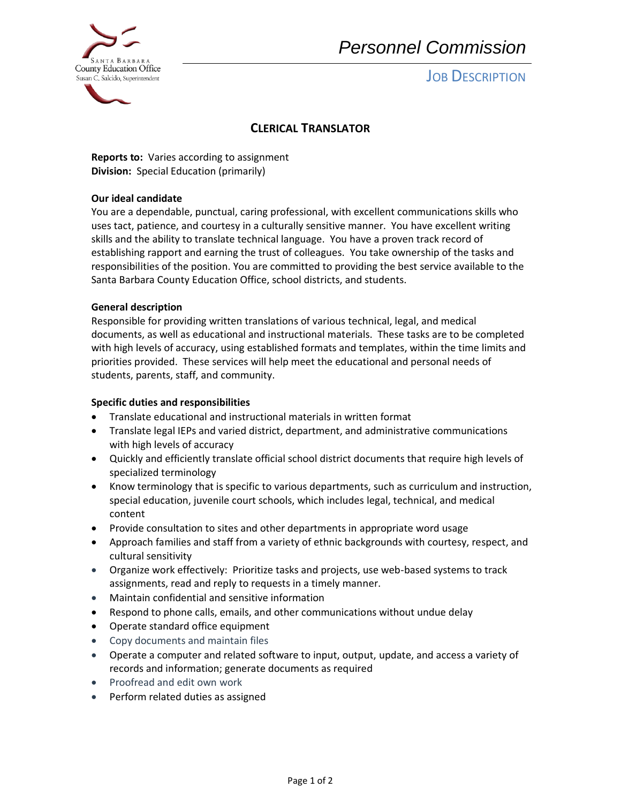

# *Personnel Commission*

# **JOB DESCRIPTION**

### **CLERICAL TRANSLATOR**

**Reports to:** Varies according to assignment **Division:** Special Education (primarily)

### **Our ideal candidate**

You are a dependable, punctual, caring professional, with excellent communications skills who uses tact, patience, and courtesy in a culturally sensitive manner. You have excellent writing skills and the ability to translate technical language. You have a proven track record of establishing rapport and earning the trust of colleagues. You take ownership of the tasks and responsibilities of the position. You are committed to providing the best service available to the Santa Barbara County Education Office, school districts, and students.

#### **General description**

Responsible for providing written translations of various technical, legal, and medical documents, as well as educational and instructional materials. These tasks are to be completed with high levels of accuracy, using established formats and templates, within the time limits and priorities provided. These services will help meet the educational and personal needs of students, parents, staff, and community.

### **Specific duties and responsibilities**

- Translate educational and instructional materials in written format
- Translate legal IEPs and varied district, department, and administrative communications with high levels of accuracy
- Quickly and efficiently translate official school district documents that require high levels of specialized terminology
- Know terminology that is specific to various departments, such as curriculum and instruction, special education, juvenile court schools, which includes legal, technical, and medical content
- Provide consultation to sites and other departments in appropriate word usage
- Approach families and staff from a variety of ethnic backgrounds with courtesy, respect, and cultural sensitivity
- Organize work effectively: Prioritize tasks and projects, use web-based systems to track assignments, read and reply to requests in a timely manner.
- Maintain confidential and sensitive information
- Respond to phone calls, emails, and other communications without undue delay
- Operate standard office equipment
- Copy documents and maintain files
- Operate a computer and related software to input, output, update, and access a variety of records and information; generate documents as required
- Proofread and edit own work
- Perform related duties as assigned